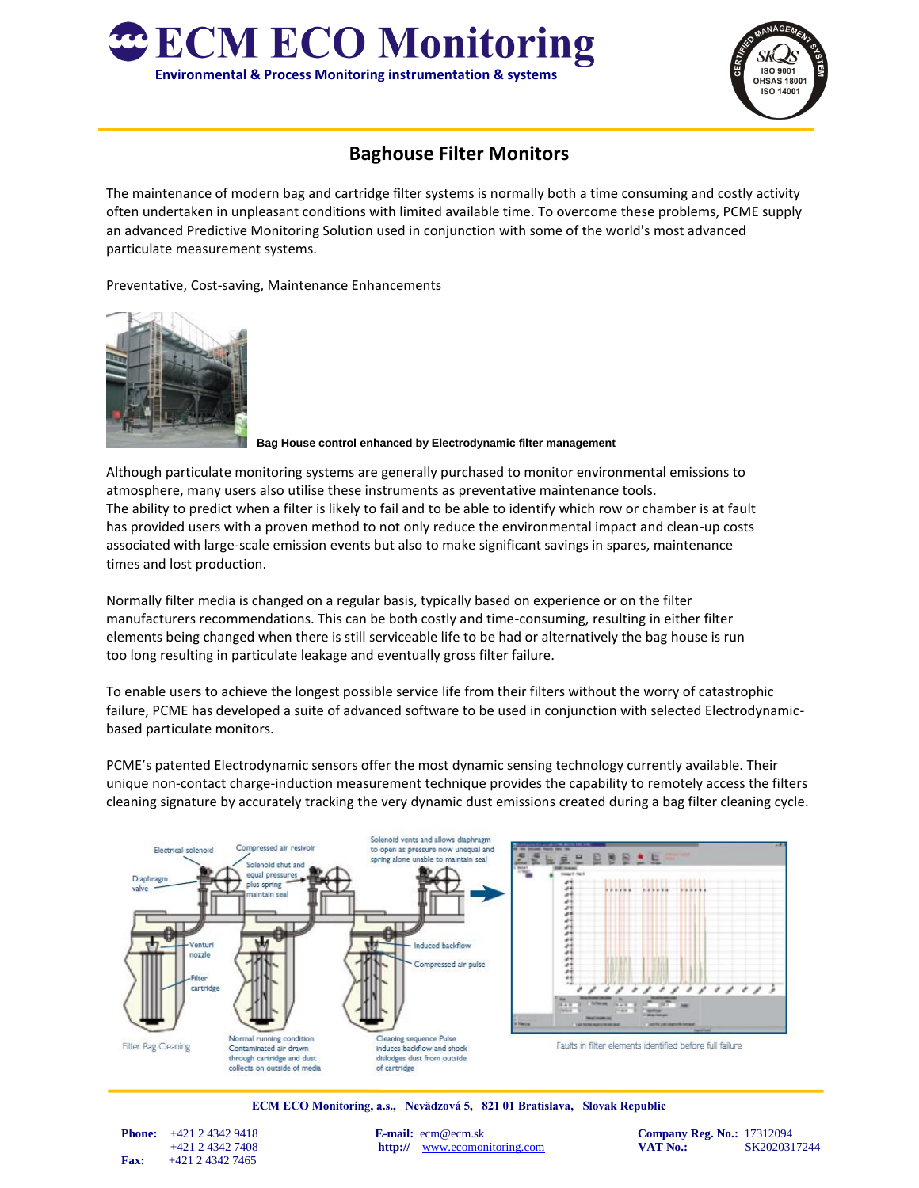



## **Baghouse Filter Monitors**

The maintenance of modern bag and cartridge filter systems is normally both a time consuming and costly activity often undertaken in unpleasant conditions with limited available time. To overcome these problems, PCME supply an advanced Predictive Monitoring Solution used in conjunction with some of the world's most advanced particulate measurement systems.

Preventative, Cost-saving, Maintenance Enhancements



**Bag House control enhanced by Electrodynamic filter management**

Although particulate monitoring systems are generally purchased to monitor environmental emissions to atmosphere, many users also utilise these instruments as preventative maintenance tools. The ability to predict when a filter is likely to fail and to be able to identify which row or chamber is at fault has provided users with a proven method to not only reduce the environmental impact and clean-up costs associated with large-scale emission events but also to make significant savings in spares, maintenance times and lost production.

Normally filter media is changed on a regular basis, typically based on experience or on the filter manufacturers recommendations. This can be both costly and time-consuming, resulting in either filter elements being changed when there is still serviceable life to be had or alternatively the bag house is run too long resulting in particulate leakage and eventually gross filter failure.

To enable users to achieve the longest possible service life from their filters without the worry of catastrophic failure, PCME has developed a suite of advanced software to be used in conjunction with selected Electrodynamicbased particulate monitors.

PCME's patented Electrodynamic sensors offer the most dynamic sensing technology currently available. Their unique non-contact charge-induction measurement technique provides the capability to remotely access the filters cleaning signature by accurately tracking the very dynamic dust emissions created during a bag filter cleaning cycle.



**ECM ECO Monitoring, a.s., Nevädzová 5, 821 01 Bratislava, Slovak Republic**

 **Fax:** +421 2 4342 7465

 **Phone:**  $+421 2 4342 9418$  **E-mail:**  $e$ cm@ecm.sk **Company Reg. No.:** 17312094 +421 2 4342 7408 **http://** [www.ecomonitoring.com](http://www.ecomonitoring.com/) **VAT No.:** SK2020317244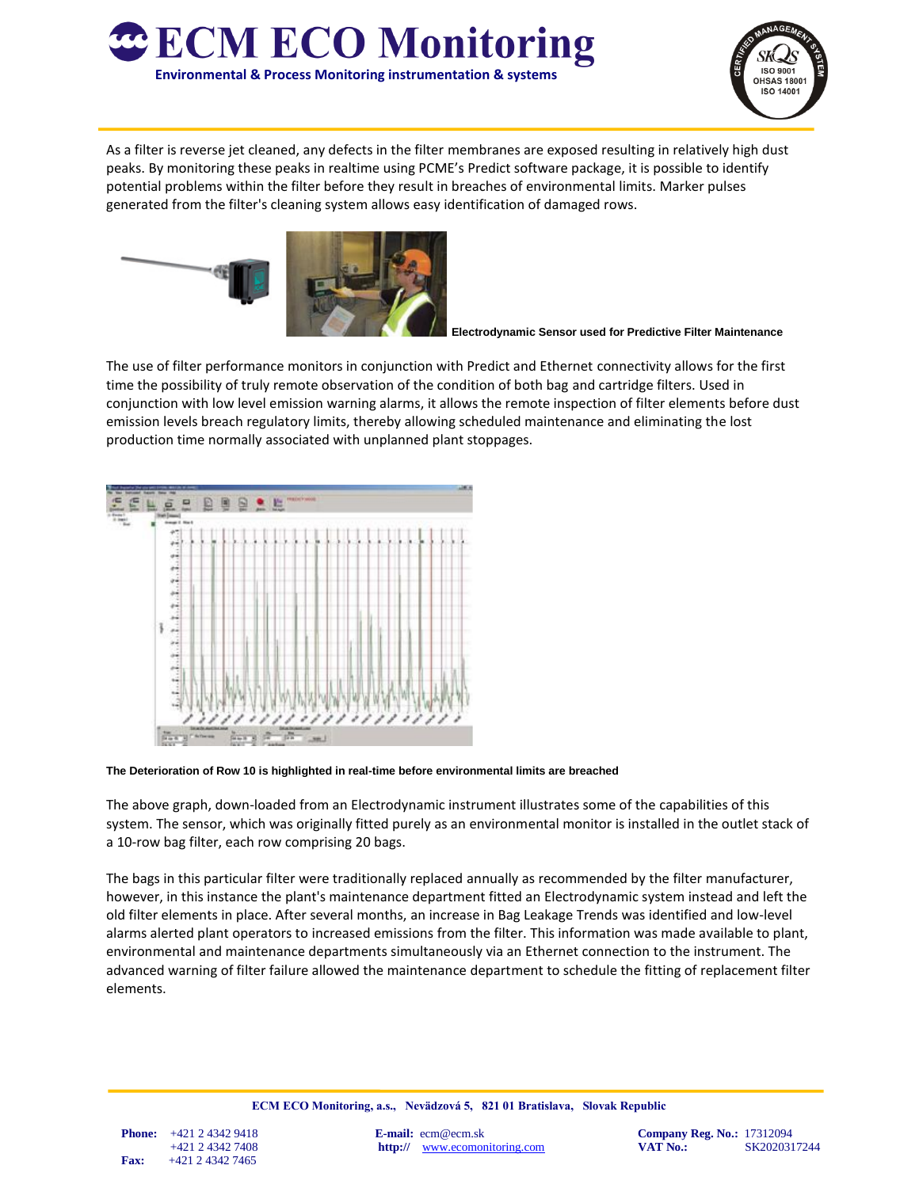



As a filter is reverse jet cleaned, any defects in the filter membranes are exposed resulting in relatively high dust peaks. By monitoring these peaks in realtime using PCME's Predict software package, it is possible to identify potential problems within the filter before they result in breaches of environmental limits. Marker pulses generated from the filter's cleaning system allows easy identification of damaged rows.



**Electrodynamic Sensor used for Predictive Filter Maintenance**

The use of filter performance monitors in conjunction with Predict and Ethernet connectivity allows for the first time the possibility of truly remote observation of the condition of both bag and cartridge filters. Used in conjunction with low level emission warning alarms, it allows the remote inspection of filter elements before dust emission levels breach regulatory limits, thereby allowing scheduled maintenance and eliminating the lost production time normally associated with unplanned plant stoppages.



**The Deterioration of Row 10 is highlighted in real-time before environmental limits are breached**

The above graph, down-loaded from an Electrodynamic instrument illustrates some of the capabilities of this system. The sensor, which was originally fitted purely as an environmental monitor is installed in the outlet stack of a 10-row bag filter, each row comprising 20 bags.

The bags in this particular filter were traditionally replaced annually as recommended by the filter manufacturer, however, in this instance the plant's maintenance department fitted an Electrodynamic system instead and left the old filter elements in place. After several months, an increase in Bag Leakage Trends was identified and low-level alarms alerted plant operators to increased emissions from the filter. This information was made available to plant, environmental and maintenance departments simultaneously via an Ethernet connection to the instrument. The advanced warning of filter failure allowed the maintenance department to schedule the fitting of replacement filter elements.

 **Phone:** +421 2 4342 9418 **E-mail:** ecm@ecm.sk **Company Reg. No.:** 17312094 +421 2 4342 7408 **http://** [www.ecomonitoring.com](http://www.ecomonitoring.com/) **VAT No.:** SK2020317244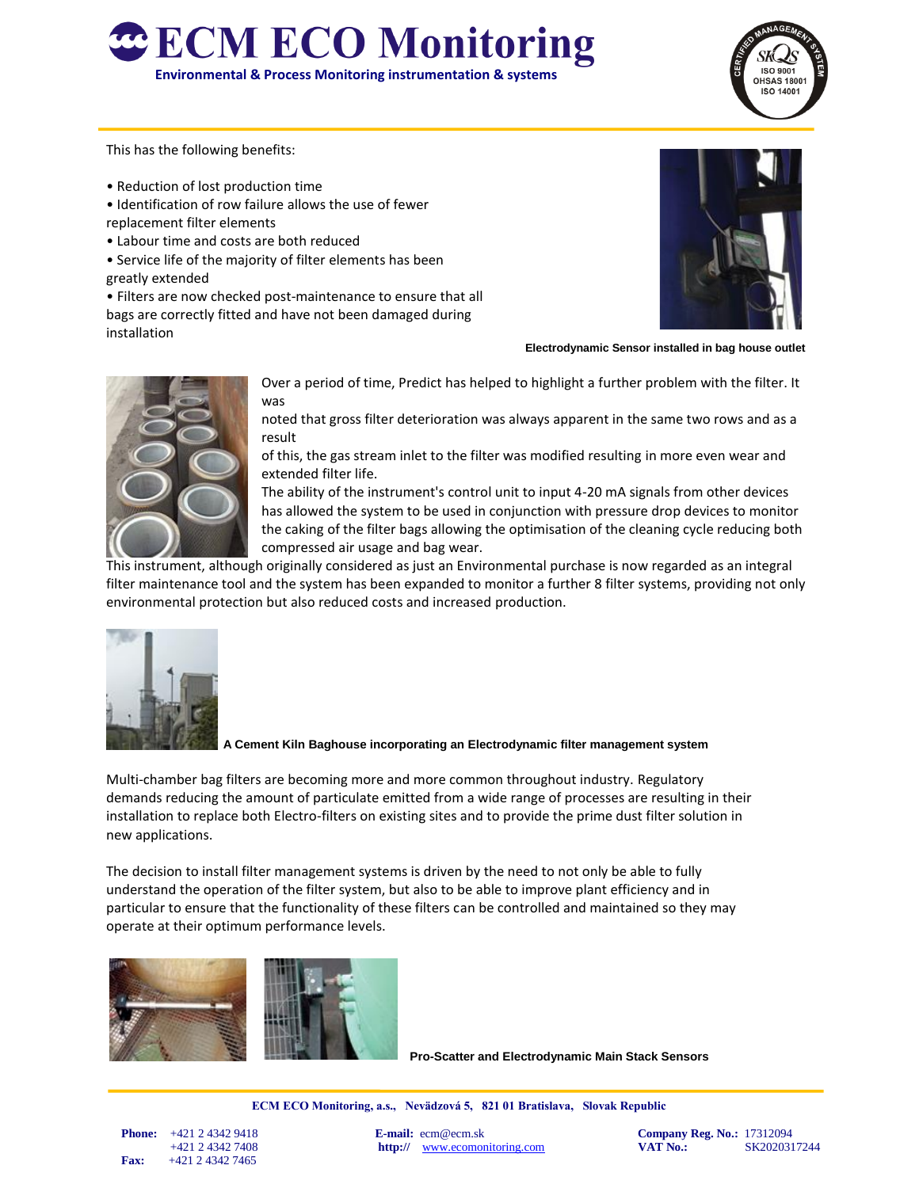



This has the following benefits:

- Reduction of lost production time
- Identification of row failure allows the use of fewer
- replacement filter elements
- Labour time and costs are both reduced
- Service life of the majority of filter elements has been greatly extended

• Filters are now checked post-maintenance to ensure that all bags are correctly fitted and have not been damaged during installation



 **Electrodynamic Sensor installed in bag house outlet**



Over a period of time, Predict has helped to highlight a further problem with the filter. It was

noted that gross filter deterioration was always apparent in the same two rows and as a result

of this, the gas stream inlet to the filter was modified resulting in more even wear and extended filter life.

The ability of the instrument's control unit to input 4-20 mA signals from other devices has allowed the system to be used in conjunction with pressure drop devices to monitor the caking of the filter bags allowing the optimisation of the cleaning cycle reducing both compressed air usage and bag wear.

This instrument, although originally considered as just an Environmental purchase is now regarded as an integral filter maintenance tool and the system has been expanded to monitor a further 8 filter systems, providing not only environmental protection but also reduced costs and increased production.



**A Cement Kiln Baghouse incorporating an Electrodynamic filter management system**

Multi-chamber bag filters are becoming more and more common throughout industry. Regulatory demands reducing the amount of particulate emitted from a wide range of processes are resulting in their installation to replace both Electro-filters on existing sites and to provide the prime dust filter solution in new applications.

The decision to install filter management systems is driven by the need to not only be able to fully understand the operation of the filter system, but also to be able to improve plant efficiency and in particular to ensure that the functionality of these filters can be controlled and maintained so they may operate at their optimum performance levels.



 **Pro-Scatter and Electrodynamic Main Stack Sensors**

**ECM ECO Monitoring, a.s., Nevädzová 5, 821 01 Bratislava, Slovak Republic**

 **Fax:** +421 2 4342 7465

 **Phone:**  $+421 2 4342 9418$  **E-mail:**  $e$ cm@ecm.sk **Company Reg. No.:** 17312094

+421 2 4342 7408 **http://** [www.ecomonitoring.com](http://www.ecomonitoring.com/) **VAT No.:** SK2020317244